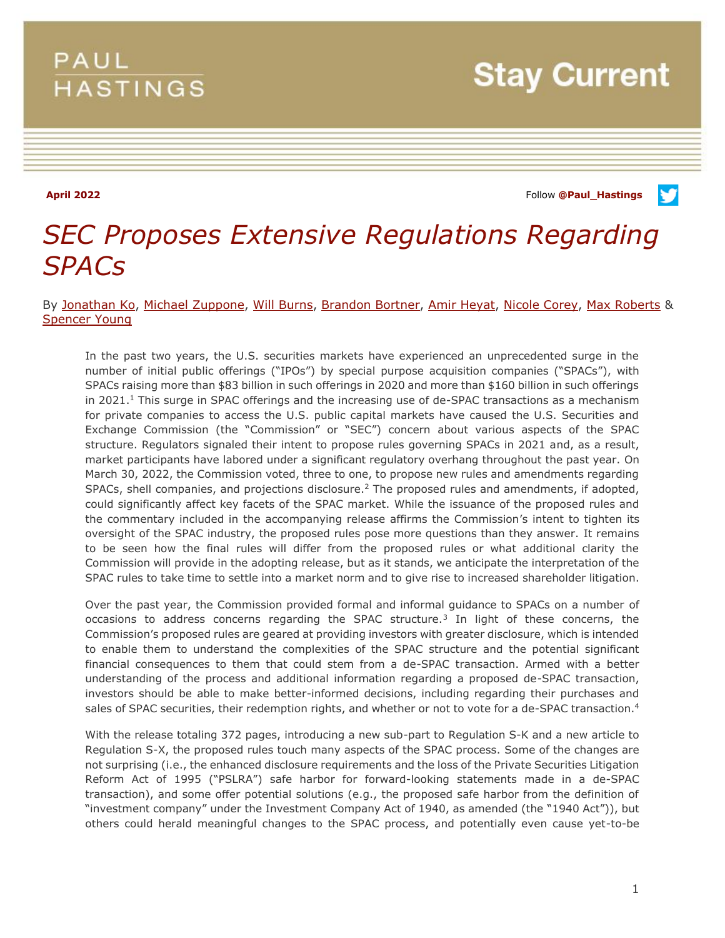# **PAUL HASTINGS**

**Stay Current** 

**April 2022** Follow **[@Paul\\_Hastings](http://twitter.com/Paul_Hastings)**

V

# *SEC Proposes Extensive Regulations Regarding SPACs*

By [Jonathan Ko,](https://www.paulhastings.com/professionals/jonathanko) [Michael Zuppone,](https://www.paulhastings.com/professionals/michaelzuppone) [Will Burns,](https://www.paulhastings.com/professionals/willburns) [Brandon Bortner,](https://www.paulhastings.com/professionals/brandonbortner) [Amir Heyat,](https://www.paulhastings.com/professionals/amirheyat) [Nicole Corey,](https://www.paulhastings.com/professionals/nicolecorey) [Max Roberts](https://www.paulhastings.com/professionals/maxroberts) & [Spencer Young](https://www.paulhastings.com/professionals/spenceryoung)

In the past two years, the U.S. securities markets have experienced an unprecedented surge in the number of initial public offerings ("IPOs") by special purpose acquisition companies ("SPACs"), with SPACs raising more than \$83 billion in such offerings in 2020 and more than \$160 billion in such offerings in 2021.<sup>1</sup> This surge in SPAC offerings and the increasing use of de-SPAC transactions as a mechanism for private companies to access the U.S. public capital markets have caused the U.S. Securities and Exchange Commission (the "Commission" or "SEC") concern about various aspects of the SPAC structure. Regulators signaled their intent to propose rules governing SPACs in 2021 and, as a result, market participants have labored under a significant regulatory overhang throughout the past year. On March 30, 2022, the Commission voted, three to one, to propose new rules and amendments regarding SPACs, shell companies, and projections disclosure.<sup>2</sup> The proposed rules and amendments, if adopted, could significantly affect key facets of the SPAC market. While the issuance of the proposed rules and the commentary included in the accompanying release affirms the Commission's intent to tighten its oversight of the SPAC industry, the proposed rules pose more questions than they answer. It remains to be seen how the final rules will differ from the proposed rules or what additional clarity the Commission will provide in the adopting release, but as it stands, we anticipate the interpretation of the SPAC rules to take time to settle into a market norm and to give rise to increased shareholder litigation.

Over the past year, the Commission provided formal and informal guidance to SPACs on a number of occasions to address concerns regarding the SPAC structure.<sup>3</sup> In light of these concerns, the Commission's proposed rules are geared at providing investors with greater disclosure, which is intended to enable them to understand the complexities of the SPAC structure and the potential significant financial consequences to them that could stem from a de-SPAC transaction. Armed with a better understanding of the process and additional information regarding a proposed de-SPAC transaction, investors should be able to make better-informed decisions, including regarding their purchases and sales of SPAC securities, their redemption rights, and whether or not to vote for a de-SPAC transaction.<sup>4</sup>

With the release totaling 372 pages, introducing a new sub-part to Regulation S-K and a new article to Regulation S-X, the proposed rules touch many aspects of the SPAC process. Some of the changes are not surprising (i.e., the enhanced disclosure requirements and the loss of the Private Securities Litigation Reform Act of 1995 ("PSLRA") safe harbor for forward-looking statements made in a de-SPAC transaction), and some offer potential solutions (e.g., the proposed safe harbor from the definition of "investment company" under the Investment Company Act of 1940, as amended (the "1940 Act")), but others could herald meaningful changes to the SPAC process, and potentially even cause yet-to-be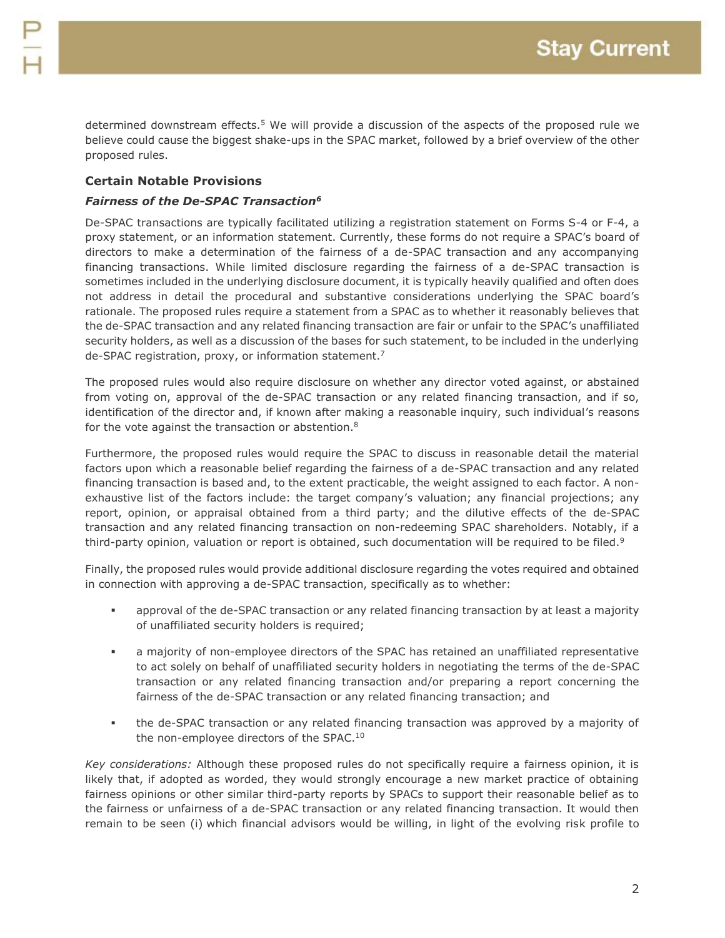determined downstream effects.<sup>5</sup> We will provide a discussion of the aspects of the proposed rule we believe could cause the biggest shake-ups in the SPAC market, followed by a brief overview of the other proposed rules.

# **Certain Notable Provisions**

### *Fairness of the De-SPAC Transaction<sup>6</sup>*

De-SPAC transactions are typically facilitated utilizing a registration statement on Forms S-4 or F-4, a proxy statement, or an information statement. Currently, these forms do not require a SPAC's board of directors to make a determination of the fairness of a de-SPAC transaction and any accompanying financing transactions. While limited disclosure regarding the fairness of a de-SPAC transaction is sometimes included in the underlying disclosure document, it is typically heavily qualified and often does not address in detail the procedural and substantive considerations underlying the SPAC board's rationale. The proposed rules require a statement from a SPAC as to whether it reasonably believes that the de-SPAC transaction and any related financing transaction are fair or unfair to the SPAC's unaffiliated security holders, as well as a discussion of the bases for such statement, to be included in the underlying de-SPAC registration, proxy, or information statement.<sup>7</sup>

The proposed rules would also require disclosure on whether any director voted against, or abstained from voting on, approval of the de-SPAC transaction or any related financing transaction, and if so, identification of the director and, if known after making a reasonable inquiry, such individual's reasons for the vote against the transaction or abstention.<sup>8</sup>

Furthermore, the proposed rules would require the SPAC to discuss in reasonable detail the material factors upon which a reasonable belief regarding the fairness of a de-SPAC transaction and any related financing transaction is based and, to the extent practicable, the weight assigned to each factor. A nonexhaustive list of the factors include: the target company's valuation; any financial projections; any report, opinion, or appraisal obtained from a third party; and the dilutive effects of the de-SPAC transaction and any related financing transaction on non-redeeming SPAC shareholders. Notably, if a third-party opinion, valuation or report is obtained, such documentation will be required to be filed.<sup>9</sup>

Finally, the proposed rules would provide additional disclosure regarding the votes required and obtained in connection with approving a de-SPAC transaction, specifically as to whether:

- approval of the de-SPAC transaction or any related financing transaction by at least a majority of unaffiliated security holders is required;
- a majority of non-employee directors of the SPAC has retained an unaffiliated representative to act solely on behalf of unaffiliated security holders in negotiating the terms of the de-SPAC transaction or any related financing transaction and/or preparing a report concerning the fairness of the de-SPAC transaction or any related financing transaction; and
- the de-SPAC transaction or any related financing transaction was approved by a majority of the non-employee directors of the SPAC.<sup>10</sup>

*Key considerations:* Although these proposed rules do not specifically require a fairness opinion, it is likely that, if adopted as worded, they would strongly encourage a new market practice of obtaining fairness opinions or other similar third-party reports by SPACs to support their reasonable belief as to the fairness or unfairness of a de-SPAC transaction or any related financing transaction. It would then remain to be seen (i) which financial advisors would be willing, in light of the evolving risk profile to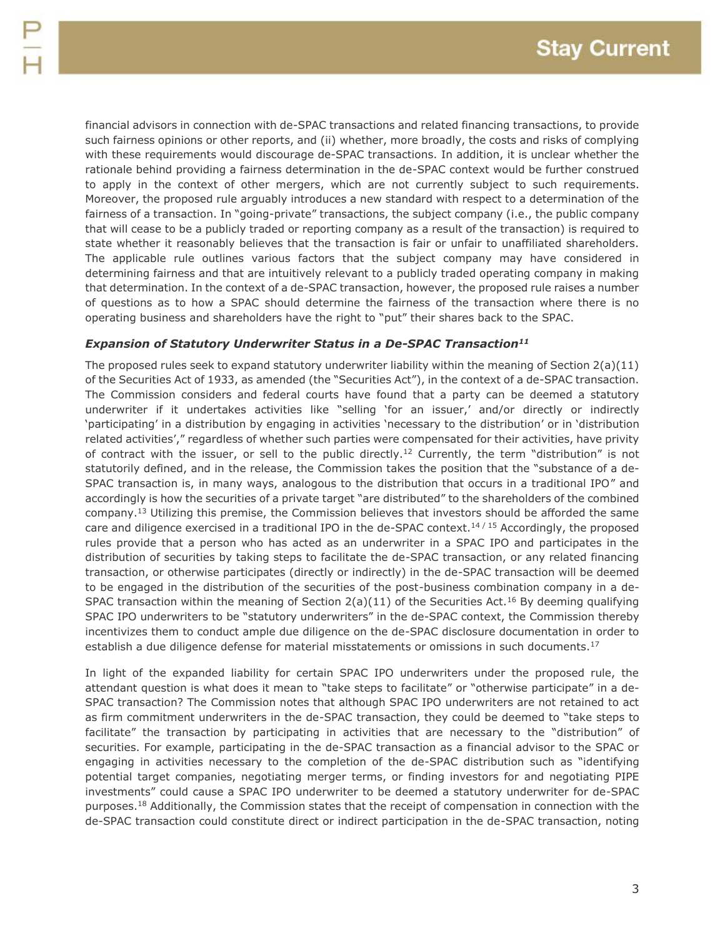financial advisors in connection with de-SPAC transactions and related financing transactions, to provide such fairness opinions or other reports, and (ii) whether, more broadly, the costs and risks of complying with these requirements would discourage de-SPAC transactions. In addition, it is unclear whether the rationale behind providing a fairness determination in the de-SPAC context would be further construed to apply in the context of other mergers, which are not currently subject to such requirements. Moreover, the proposed rule arguably introduces a new standard with respect to a determination of the fairness of a transaction. In "going-private" transactions, the subject company (i.e., the public company that will cease to be a publicly traded or reporting company as a result of the transaction) is required to state whether it reasonably believes that the transaction is fair or unfair to unaffiliated shareholders. The applicable rule outlines various factors that the subject company may have considered in determining fairness and that are intuitively relevant to a publicly traded operating company in making that determination. In the context of a de-SPAC transaction, however, the proposed rule raises a number of questions as to how a SPAC should determine the fairness of the transaction where there is no operating business and shareholders have the right to "put" their shares back to the SPAC.

#### *Expansion of Statutory Underwriter Status in a De-SPAC Transaction<sup>11</sup>*

The proposed rules seek to expand statutory underwriter liability within the meaning of Section  $2(a)(11)$ of the Securities Act of 1933, as amended (the "Securities Act"), in the context of a de-SPAC transaction. The Commission considers and federal courts have found that a party can be deemed a statutory underwriter if it undertakes activities like "selling 'for an issuer,' and/or directly or indirectly 'participating' in a distribution by engaging in activities 'necessary to the distribution' or in 'distribution related activities'," regardless of whether such parties were compensated for their activities, have privity of contract with the issuer, or sell to the public directly.<sup>12</sup> Currently, the term "distribution" is not statutorily defined, and in the release, the Commission takes the position that the "substance of a de-SPAC transaction is, in many ways, analogous to the distribution that occurs in a traditional IPO" and accordingly is how the securities of a private target "are distributed" to the shareholders of the combined company.<sup>13</sup> Utilizing this premise, the Commission believes that investors should be afforded the same care and diligence exercised in a traditional IPO in the de-SPAC context.<sup>14/15</sup> Accordingly, the proposed rules provide that a person who has acted as an underwriter in a SPAC IPO and participates in the distribution of securities by taking steps to facilitate the de-SPAC transaction, or any related financing transaction, or otherwise participates (directly or indirectly) in the de-SPAC transaction will be deemed to be engaged in the distribution of the securities of the post-business combination company in a de-SPAC transaction within the meaning of Section  $2(a)(11)$  of the Securities Act.<sup>16</sup> By deeming qualifying SPAC IPO underwriters to be "statutory underwriters" in the de-SPAC context, the Commission thereby incentivizes them to conduct ample due diligence on the de-SPAC disclosure documentation in order to establish a due diligence defense for material misstatements or omissions in such documents.<sup>17</sup>

In light of the expanded liability for certain SPAC IPO underwriters under the proposed rule, the attendant question is what does it mean to "take steps to facilitate" or "otherwise participate" in a de-SPAC transaction? The Commission notes that although SPAC IPO underwriters are not retained to act as firm commitment underwriters in the de-SPAC transaction, they could be deemed to "take steps to facilitate" the transaction by participating in activities that are necessary to the "distribution" of securities. For example, participating in the de-SPAC transaction as a financial advisor to the SPAC or engaging in activities necessary to the completion of the de-SPAC distribution such as "identifying potential target companies, negotiating merger terms, or finding investors for and negotiating PIPE investments" could cause a SPAC IPO underwriter to be deemed a statutory underwriter for de-SPAC purposes.<sup>18</sup> Additionally, the Commission states that the receipt of compensation in connection with the de-SPAC transaction could constitute direct or indirect participation in the de-SPAC transaction, noting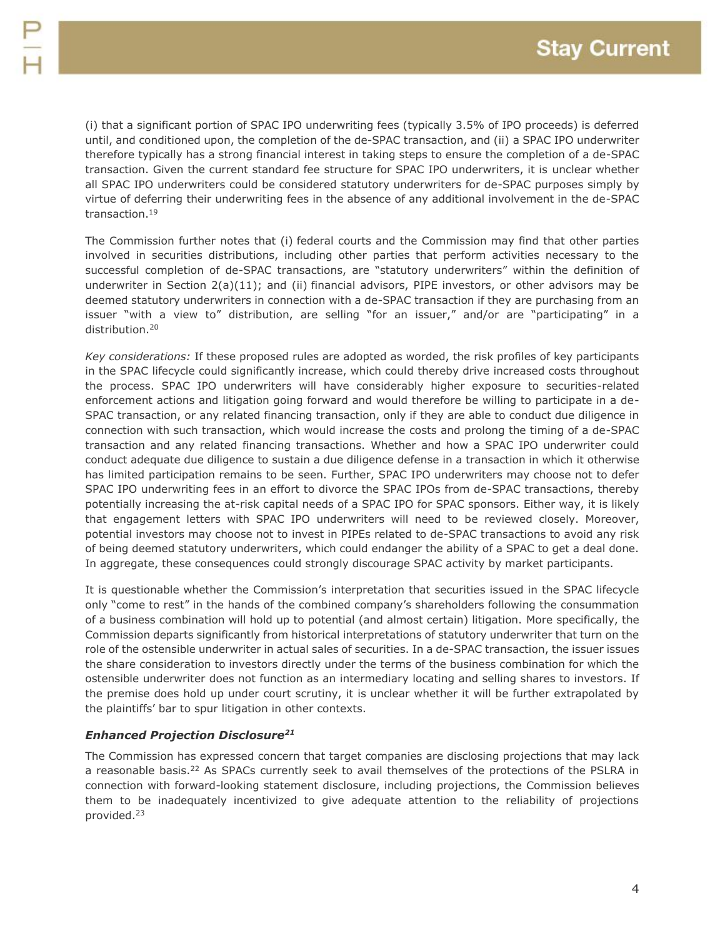(i) that a significant portion of SPAC IPO underwriting fees (typically 3.5% of IPO proceeds) is deferred until, and conditioned upon, the completion of the de-SPAC transaction, and (ii) a SPAC IPO underwriter therefore typically has a strong financial interest in taking steps to ensure the completion of a de-SPAC transaction. Given the current standard fee structure for SPAC IPO underwriters, it is unclear whether all SPAC IPO underwriters could be considered statutory underwriters for de-SPAC purposes simply by virtue of deferring their underwriting fees in the absence of any additional involvement in the de-SPAC transaction.<sup>19</sup>

The Commission further notes that (i) federal courts and the Commission may find that other parties involved in securities distributions, including other parties that perform activities necessary to the successful completion of de-SPAC transactions, are "statutory underwriters" within the definition of underwriter in Section 2(a)(11); and (ii) financial advisors, PIPE investors, or other advisors may be deemed statutory underwriters in connection with a de-SPAC transaction if they are purchasing from an issuer "with a view to" distribution, are selling "for an issuer," and/or are "participating" in a distribution.<sup>20</sup>

*Key considerations:* If these proposed rules are adopted as worded, the risk profiles of key participants in the SPAC lifecycle could significantly increase, which could thereby drive increased costs throughout the process. SPAC IPO underwriters will have considerably higher exposure to securities-related enforcement actions and litigation going forward and would therefore be willing to participate in a de-SPAC transaction, or any related financing transaction, only if they are able to conduct due diligence in connection with such transaction, which would increase the costs and prolong the timing of a de-SPAC transaction and any related financing transactions. Whether and how a SPAC IPO underwriter could conduct adequate due diligence to sustain a due diligence defense in a transaction in which it otherwise has limited participation remains to be seen. Further, SPAC IPO underwriters may choose not to defer SPAC IPO underwriting fees in an effort to divorce the SPAC IPOs from de-SPAC transactions, thereby potentially increasing the at-risk capital needs of a SPAC IPO for SPAC sponsors. Either way, it is likely that engagement letters with SPAC IPO underwriters will need to be reviewed closely. Moreover, potential investors may choose not to invest in PIPEs related to de-SPAC transactions to avoid any risk of being deemed statutory underwriters, which could endanger the ability of a SPAC to get a deal done. In aggregate, these consequences could strongly discourage SPAC activity by market participants.

It is questionable whether the Commission's interpretation that securities issued in the SPAC lifecycle only "come to rest" in the hands of the combined company's shareholders following the consummation of a business combination will hold up to potential (and almost certain) litigation. More specifically, the Commission departs significantly from historical interpretations of statutory underwriter that turn on the role of the ostensible underwriter in actual sales of securities. In a de-SPAC transaction, the issuer issues the share consideration to investors directly under the terms of the business combination for which the ostensible underwriter does not function as an intermediary locating and selling shares to investors. If the premise does hold up under court scrutiny, it is unclear whether it will be further extrapolated by the plaintiffs' bar to spur litigation in other contexts.

# *Enhanced Projection Disclosure<sup>21</sup>*

The Commission has expressed concern that target companies are disclosing projections that may lack a reasonable basis.<sup>22</sup> As SPACs currently seek to avail themselves of the protections of the PSLRA in connection with forward-looking statement disclosure, including projections, the Commission believes them to be inadequately incentivized to give adequate attention to the reliability of projections provided.23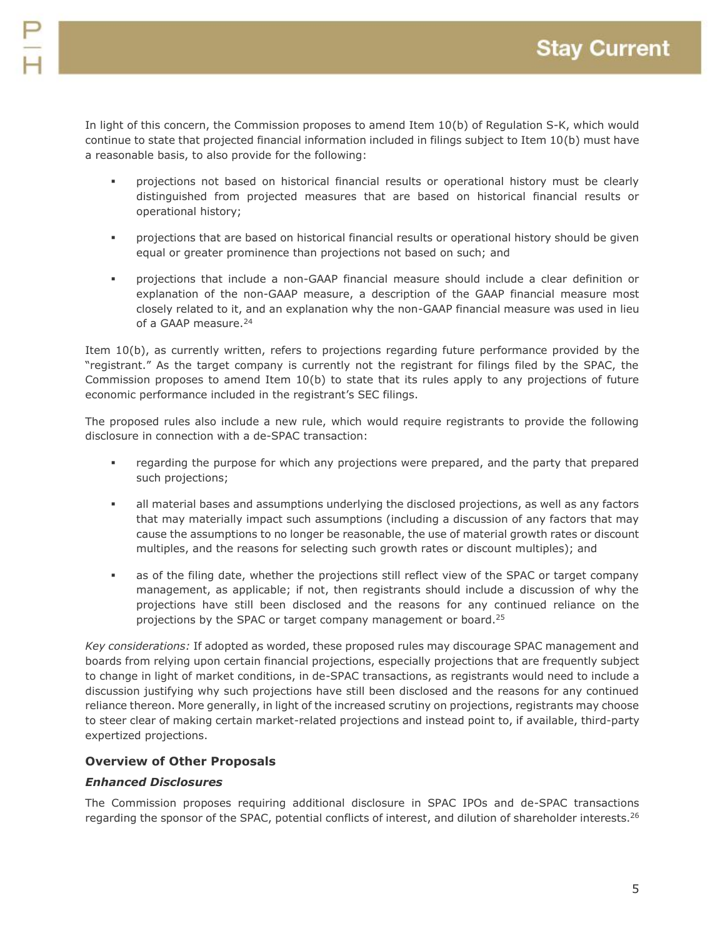In light of this concern, the Commission proposes to amend Item 10(b) of Regulation S-K, which would continue to state that projected financial information included in filings subject to Item 10(b) must have a reasonable basis, to also provide for the following:

- projections not based on historical financial results or operational history must be clearly distinguished from projected measures that are based on historical financial results or operational history;
- projections that are based on historical financial results or operational history should be given equal or greater prominence than projections not based on such; and
- projections that include a non-GAAP financial measure should include a clear definition or explanation of the non-GAAP measure, a description of the GAAP financial measure most closely related to it, and an explanation why the non-GAAP financial measure was used in lieu of a GAAP measure.<sup>24</sup>

Item 10(b), as currently written, refers to projections regarding future performance provided by the "registrant." As the target company is currently not the registrant for filings filed by the SPAC, the Commission proposes to amend Item 10(b) to state that its rules apply to any projections of future economic performance included in the registrant's SEC filings.

The proposed rules also include a new rule, which would require registrants to provide the following disclosure in connection with a de-SPAC transaction:

- regarding the purpose for which any projections were prepared, and the party that prepared such projections;
- all material bases and assumptions underlying the disclosed projections, as well as any factors that may materially impact such assumptions (including a discussion of any factors that may cause the assumptions to no longer be reasonable, the use of material growth rates or discount multiples, and the reasons for selecting such growth rates or discount multiples); and
- as of the filing date, whether the projections still reflect view of the SPAC or target company management, as applicable; if not, then registrants should include a discussion of why the projections have still been disclosed and the reasons for any continued reliance on the projections by the SPAC or target company management or board.<sup>25</sup>

*Key considerations:* If adopted as worded, these proposed rules may discourage SPAC management and boards from relying upon certain financial projections, especially projections that are frequently subject to change in light of market conditions, in de-SPAC transactions, as registrants would need to include a discussion justifying why such projections have still been disclosed and the reasons for any continued reliance thereon. More generally, in light of the increased scrutiny on projections, registrants may choose to steer clear of making certain market-related projections and instead point to, if available, third-party expertized projections.

# **Overview of Other Proposals**

# *Enhanced Disclosures*

The Commission proposes requiring additional disclosure in SPAC IPOs and de-SPAC transactions regarding the sponsor of the SPAC, potential conflicts of interest, and dilution of shareholder interests.<sup>26</sup>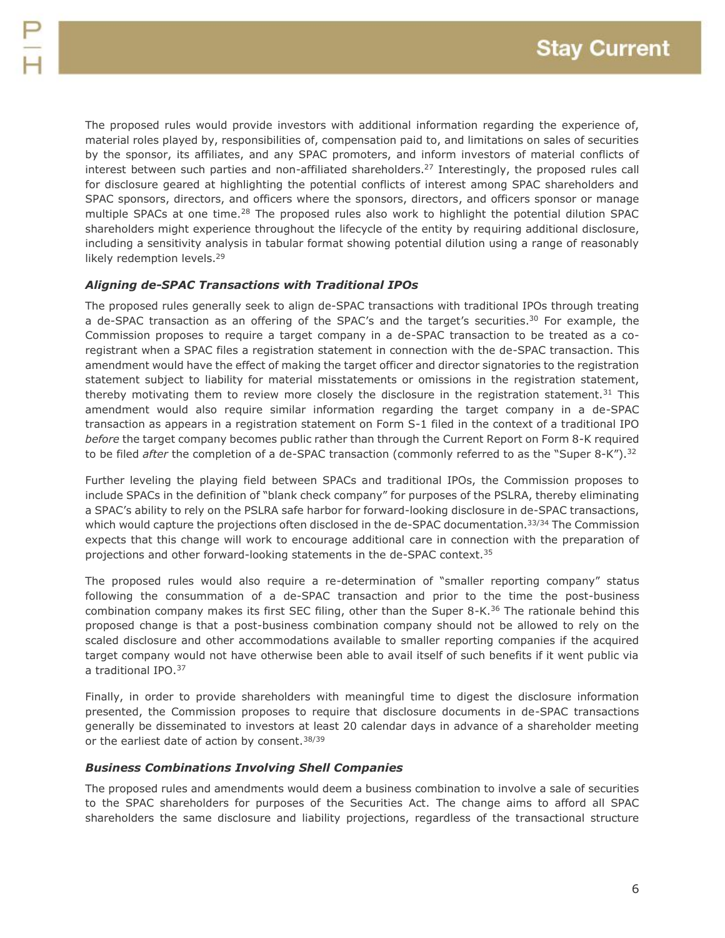The proposed rules would provide investors with additional information regarding the experience of, material roles played by, responsibilities of, compensation paid to, and limitations on sales of securities by the sponsor, its affiliates, and any SPAC promoters, and inform investors of material conflicts of interest between such parties and non-affiliated shareholders.<sup>27</sup> Interestingly, the proposed rules call for disclosure geared at highlighting the potential conflicts of interest among SPAC shareholders and SPAC sponsors, directors, and officers where the sponsors, directors, and officers sponsor or manage multiple SPACs at one time.<sup>28</sup> The proposed rules also work to highlight the potential dilution SPAC shareholders might experience throughout the lifecycle of the entity by requiring additional disclosure, including a sensitivity analysis in tabular format showing potential dilution using a range of reasonably likely redemption levels.<sup>29</sup>

#### *Aligning de-SPAC Transactions with Traditional IPOs*

The proposed rules generally seek to align de-SPAC transactions with traditional IPOs through treating a de-SPAC transaction as an offering of the SPAC's and the target's securities.<sup>30</sup> For example, the Commission proposes to require a target company in a de-SPAC transaction to be treated as a coregistrant when a SPAC files a registration statement in connection with the de-SPAC transaction. This amendment would have the effect of making the target officer and director signatories to the registration statement subject to liability for material misstatements or omissions in the registration statement, thereby motivating them to review more closely the disclosure in the registration statement.<sup>31</sup> This amendment would also require similar information regarding the target company in a de-SPAC transaction as appears in a registration statement on Form S-1 filed in the context of a traditional IPO *before* the target company becomes public rather than through the Current Report on Form 8-K required to be filed *after* the completion of a de-SPAC transaction (commonly referred to as the "Super 8-K").<sup>32</sup>

Further leveling the playing field between SPACs and traditional IPOs, the Commission proposes to include SPACs in the definition of "blank check company" for purposes of the PSLRA, thereby eliminating a SPAC's ability to rely on the PSLRA safe harbor for forward-looking disclosure in de-SPAC transactions, which would capture the projections often disclosed in the de-SPAC documentation.<sup>33/34</sup> The Commission expects that this change will work to encourage additional care in connection with the preparation of projections and other forward-looking statements in the de-SPAC context.<sup>35</sup>

The proposed rules would also require a re-determination of "smaller reporting company" status following the consummation of a de-SPAC transaction and prior to the time the post-business combination company makes its first SEC filing, other than the Super 8-K.<sup>36</sup> The rationale behind this proposed change is that a post-business combination company should not be allowed to rely on the scaled disclosure and other accommodations available to smaller reporting companies if the acquired target company would not have otherwise been able to avail itself of such benefits if it went public via a traditional IPO.<sup>37</sup>

Finally, in order to provide shareholders with meaningful time to digest the disclosure information presented, the Commission proposes to require that disclosure documents in de-SPAC transactions generally be disseminated to investors at least 20 calendar days in advance of a shareholder meeting or the earliest date of action by consent.<sup>38/39</sup>

#### *Business Combinations Involving Shell Companies*

The proposed rules and amendments would deem a business combination to involve a sale of securities to the SPAC shareholders for purposes of the Securities Act. The change aims to afford all SPAC shareholders the same disclosure and liability projections, regardless of the transactional structure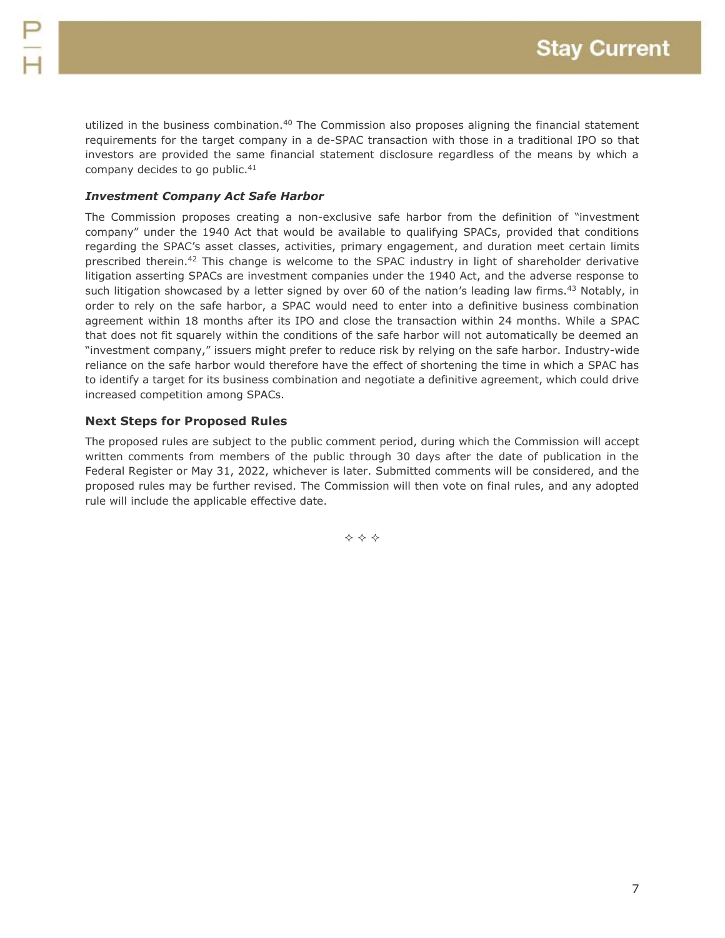utilized in the business combination.<sup>40</sup> The Commission also proposes aligning the financial statement requirements for the target company in a de-SPAC transaction with those in a traditional IPO so that investors are provided the same financial statement disclosure regardless of the means by which a company decides to go public.<sup>41</sup>

# *Investment Company Act Safe Harbor*

The Commission proposes creating a non-exclusive safe harbor from the definition of "investment company" under the 1940 Act that would be available to qualifying SPACs, provided that conditions regarding the SPAC's asset classes, activities, primary engagement, and duration meet certain limits prescribed therein.<sup>42</sup> This change is welcome to the SPAC industry in light of shareholder derivative litigation asserting SPACs are investment companies under the 1940 Act, and the adverse response to such litigation showcased by a letter signed by over 60 of the nation's leading law firms.<sup>43</sup> Notably, in order to rely on the safe harbor, a SPAC would need to enter into a definitive business combination agreement within 18 months after its IPO and close the transaction within 24 months. While a SPAC that does not fit squarely within the conditions of the safe harbor will not automatically be deemed an "investment company," issuers might prefer to reduce risk by relying on the safe harbor. Industry-wide reliance on the safe harbor would therefore have the effect of shortening the time in which a SPAC has to identify a target for its business combination and negotiate a definitive agreement, which could drive increased competition among SPACs.

# **Next Steps for Proposed Rules**

The proposed rules are subject to the public comment period, during which the Commission will accept written comments from members of the public through 30 days after the date of publication in the Federal Register or May 31, 2022, whichever is later. Submitted comments will be considered, and the proposed rules may be further revised. The Commission will then vote on final rules, and any adopted rule will include the applicable effective date.

**◆ ◆ ◆**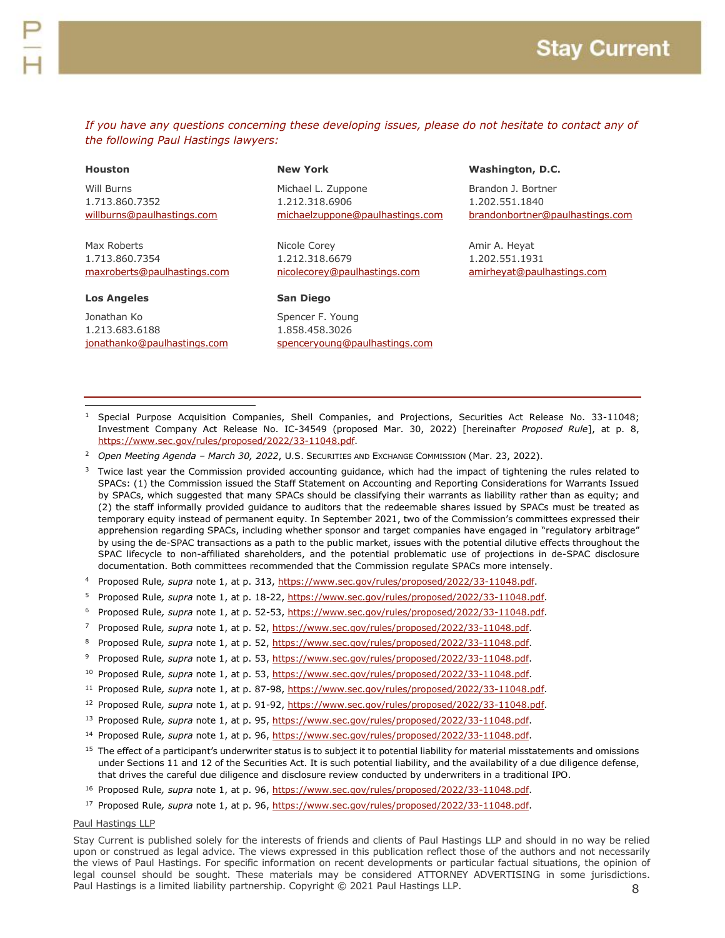*If you have any questions concerning these developing issues, please do not hesitate to contact any of the following Paul Hastings lawyers:*

#### **Houston**

Will Burns 1.713.860.7352 [willburns@paulhastings.com](mailto:willburns@paulhastings.com)

Max Roberts 1.713.860.7354 [maxroberts@paulhastings.com](mailto:maxroberts@paulhastings.com)

#### **Los Angeles**

 $\overline{a}$ 

Jonathan Ko 1.213.683.6188 [jonathanko@paulhastings.com](mailto:jonathanko@paulhastings.com)

#### **New York**

Michael L. Zuppone 1.212.318.6906 [michaelzuppone@paulhastings.com](mailto:michaelzuppone@paulhastings.com)

Nicole Corey 1.212.318.6679 [nicolecorey@paulhastings.com](mailto:nicolecorey@paulhastings.com)

#### **San Diego**

Spencer F. Young 1.858.458.3026 [spenceryoung@paulhastings.com](mailto:spenceryoung@paulhastings.com)

#### **Washington, D.C.**

Brandon J. Bortner 1.202.551.1840 [brandonbortner@paulhastings.com](mailto:brandonbortner@paulhastings.com)

Amir A. Heyat 1.202.551.1931 [amirheyat@paulhastings.com](mailto:amirheyat@paulhastings.com)

- <sup>1</sup> Special Purpose Acquisition Companies, Shell Companies, and Projections, Securities Act Release No. 33-11048; Investment Company Act Release No. IC-34549 (proposed Mar. 30, 2022) [hereinafter *Proposed Rule*], at p. 8, [https://www.sec.gov/rules/proposed/2022/33-11048.pdf.](https://www.sec.gov/rules/proposed/2022/33-11048.pdf)
- <sup>2</sup> *Open Meeting Agenda – March 30, 2022*, U.S. SECURITIES AND EXCHANGE COMMISSION (Mar. 23, 2022).

<sup>3</sup> Twice last year the Commission provided accounting guidance, which had the impact of tightening the rules related to SPACs: (1) the Commission issued the Staff Statement on Accounting and Reporting Considerations for Warrants Issued by SPACs, which suggested that many SPACs should be classifying their warrants as liability rather than as equity; and (2) the staff informally provided guidance to auditors that the redeemable shares issued by SPACs must be treated as temporary equity instead of permanent equity. In September 2021, two of the Commission's committees expressed their apprehension regarding SPACs, including whether sponsor and target companies have engaged in "regulatory arbitrage" by using the de-SPAC transactions as a path to the public market, issues with the potential dilutive effects throughout the SPAC lifecycle to non-affiliated shareholders, and the potential problematic use of projections in de-SPAC disclosure documentation. Both committees recommended that the Commission regulate SPACs more intensely.

- <sup>4</sup> Proposed Rule*, supra* note 1, at p. 313, [https://www.sec.gov/rules/proposed/2022/33-11048.pdf.](https://www.sec.gov/rules/proposed/2022/33-11048.pdf)
- <sup>5</sup> Proposed Rule*, supra* note 1, at p. 18-22, [https://www.sec.gov/rules/proposed/2022/33-11048.pdf.](https://www.sec.gov/rules/proposed/2022/33-11048.pdf)
- <sup>6</sup> Proposed Rule*, supra* note 1, at p. 52-53, [https://www.sec.gov/rules/proposed/2022/33-11048.pdf.](https://www.sec.gov/rules/proposed/2022/33-11048.pdf)
- <sup>7</sup> Proposed Rule*, supra* note 1, at p. 52, [https://www.sec.gov/rules/proposed/2022/33-11048.pdf.](https://www.sec.gov/rules/proposed/2022/33-11048.pdf)
- <sup>8</sup> Proposed Rule*, supra* note 1, at p. 52, [https://www.sec.gov/rules/proposed/2022/33-11048.pdf.](https://www.sec.gov/rules/proposed/2022/33-11048.pdf)
- <sup>9</sup> Proposed Rule*, supra* note 1, at p. 53, [https://www.sec.gov/rules/proposed/2022/33-11048.pdf.](https://www.sec.gov/rules/proposed/2022/33-11048.pdf)
- <sup>10</sup> Proposed Rule*, supra* note 1, at p. 53, [https://www.sec.gov/rules/proposed/2022/33-11048.pdf.](https://www.sec.gov/rules/proposed/2022/33-11048.pdf)
- <sup>11</sup> Proposed Rule*, supra* note 1, at p. 87-98, [https://www.sec.gov/rules/proposed/2022/33-11048.pdf.](https://www.sec.gov/rules/proposed/2022/33-11048.pdf)
- <sup>12</sup> Proposed Rule*, supra* note 1, at p. 91-92, [https://www.sec.gov/rules/proposed/2022/33-11048.pdf.](https://www.sec.gov/rules/proposed/2022/33-11048.pdf)
- <sup>13</sup> Proposed Rule*, supra* note 1, at p. 95, [https://www.sec.gov/rules/proposed/2022/33-11048.pdf.](https://www.sec.gov/rules/proposed/2022/33-11048.pdf)
- <sup>14</sup> Proposed Rule*, supra* note 1, at p. 96, [https://www.sec.gov/rules/proposed/2022/33-11048.pdf.](https://www.sec.gov/rules/proposed/2022/33-11048.pdf)
- $15$  The effect of a participant's underwriter status is to subject it to potential liability for material misstatements and omissions under Sections 11 and 12 of the Securities Act. It is such potential liability, and the availability of a due diligence defense, that drives the careful due diligence and disclosure review conducted by underwriters in a traditional IPO.
- <sup>16</sup> Proposed Rule*, supra* note 1, at p. 96, [https://www.sec.gov/rules/proposed/2022/33-11048.pdf.](https://www.sec.gov/rules/proposed/2022/33-11048.pdf)
- <sup>17</sup> Proposed Rule*, supra* note 1, at p. 96, [https://www.sec.gov/rules/proposed/2022/33-11048.pdf.](https://www.sec.gov/rules/proposed/2022/33-11048.pdf)

#### Paul Hastings LLP

8 Stay Current is published solely for the interests of friends and clients of Paul Hastings LLP and should in no way be relied upon or construed as legal advice. The views expressed in this publication reflect those of the authors and not necessarily the views of Paul Hastings. For specific information on recent developments or particular factual situations, the opinion of legal counsel should be sought. These materials may be considered ATTORNEY ADVERTISING in some jurisdictions. Paul Hastings is a limited liability partnership. Copyright © 2021 Paul Hastings LLP.